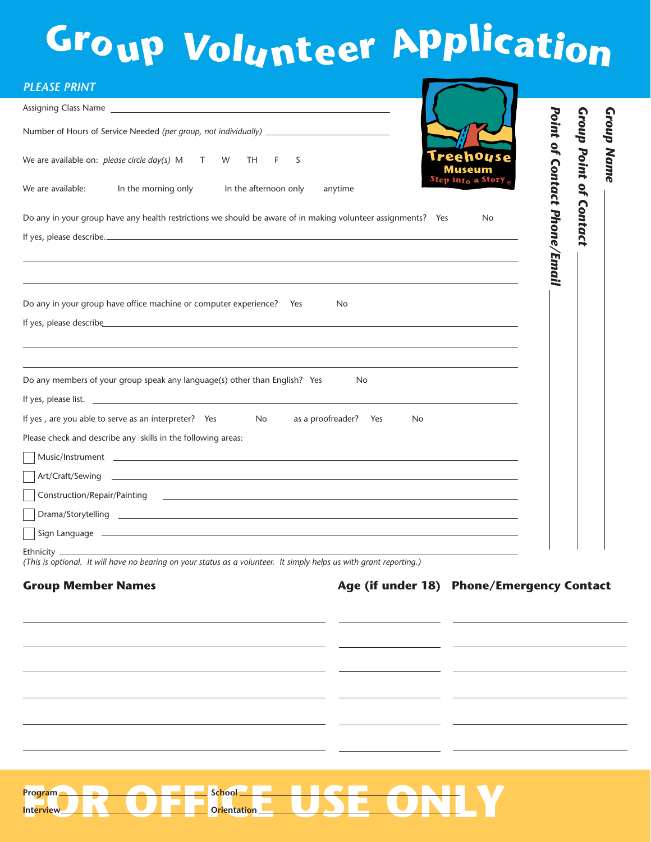# Group Volunteer APplication

| Assigning Class Name 2008 2009 2010 2020 2021 2022 2023 2024 2022 2023 2024 2022 2023 2024 2022 2023 2024 2022                                                                                                                                                                                                      |                                     |                                     |
|---------------------------------------------------------------------------------------------------------------------------------------------------------------------------------------------------------------------------------------------------------------------------------------------------------------------|-------------------------------------|-------------------------------------|
| Number of Hours of Service Needed (per group, not individually) _________________                                                                                                                                                                                                                                   |                                     | <b>Group Point of</b><br>Group Name |
| We are available on: <i>please circle day(s)</i> $M$ T W<br>TH<br>F.<br>S                                                                                                                                                                                                                                           |                                     |                                     |
| Step in <sub>to</sub> a Story<br>In the morning only<br>We are available:<br>In the afternoon only<br>anytime                                                                                                                                                                                                       |                                     |                                     |
| Do any in your group have any health restrictions we should be aware of in making volunteer assignments? Yes<br><b>No</b>                                                                                                                                                                                           | <b>Point of Contact Phone/Email</b> | <b>Contact</b>                      |
| Do any in your group have office machine or computer experience? Yes<br><b>No</b><br>If yes, please describe and the state of the state of the state of the state of the state of the state of the state of the state of the state of the state of the state of the state of the state of the state of the state of |                                     |                                     |
| Do any members of your group speak any language(s) other than English? Yes<br>No.                                                                                                                                                                                                                                   |                                     |                                     |
|                                                                                                                                                                                                                                                                                                                     |                                     |                                     |
| If yes, are you able to serve as an interpreter? Yes No<br>as a proofreader? Yes<br>No.                                                                                                                                                                                                                             |                                     |                                     |
| Please check and describe any skills in the following areas:                                                                                                                                                                                                                                                        |                                     |                                     |
| $\overline{\phantom{a}}$ Music/Instrument $\phantom{a}$                                                                                                                                                                                                                                                             |                                     |                                     |
|                                                                                                                                                                                                                                                                                                                     |                                     |                                     |
| Construction/Repair/Painting <b>Construction</b> 2014 1999                                                                                                                                                                                                                                                          |                                     |                                     |
|                                                                                                                                                                                                                                                                                                                     |                                     |                                     |
| $\mid$ Sign Language $\perp$                                                                                                                                                                                                                                                                                        |                                     |                                     |
| Ethnicity $-$<br>(This is optional. It will have no bearing on your status as a volunteer. It simply helps us with grant reporting.)<br>Age (if under 18) Phone/Emergency Contact<br><b>Group Member Names</b>                                                                                                      |                                     |                                     |